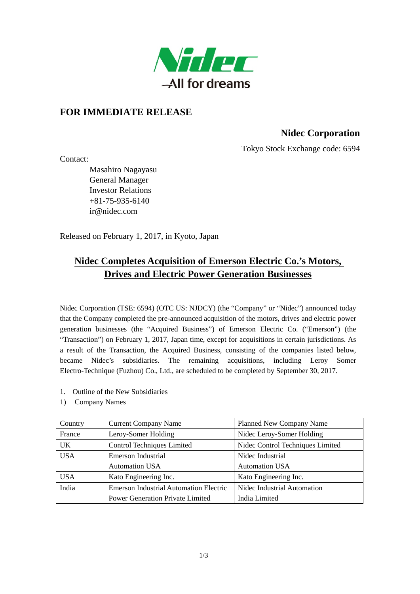

# **FOR IMMEDIATE RELEASE**

# **Nidec Corporation**

Tokyo Stock Exchange code: 6594

Contact:

Masahiro Nagayasu General Manager Investor Relations  $+81-75-935-6140$ ir@nidec.com

Released on February 1, 2017, in Kyoto, Japan

# **Nidec Completes Acquisition of Emerson Electric Co.'s Motors, Drives and Electric Power Generation Businesses**

Nidec Corporation (TSE: 6594) (OTC US: NJDCY) (the "Company" or "Nidec") announced today that the Company completed the pre-announced acquisition of the motors, drives and electric power generation businesses (the "Acquired Business") of Emerson Electric Co. ("Emerson") (the "Transaction") on February 1, 2017, Japan time, except for acquisitions in certain jurisdictions. As a result of the Transaction, the Acquired Business, consisting of the companies listed below, became Nidec's subsidiaries. The remaining acquisitions, including Leroy Somer Electro-Technique (Fuzhou) Co., Ltd., are scheduled to be completed by September 30, 2017.

- 1. Outline of the New Subsidiaries
- 1) Company Names

| Country    | <b>Current Company Name</b>                   | <b>Planned New Company Name</b>  |
|------------|-----------------------------------------------|----------------------------------|
| France     | Leroy-Somer Holding                           | Nidec Leroy-Somer Holding        |
| <b>UK</b>  | <b>Control Techniques Limited</b>             | Nidec Control Techniques Limited |
| <b>USA</b> | Emerson Industrial                            | Nidec Industrial                 |
|            | <b>Automation USA</b>                         | <b>Automation USA</b>            |
| <b>USA</b> | Kato Engineering Inc.                         | Kato Engineering Inc.            |
| India      | <b>Emerson Industrial Automation Electric</b> | Nidec Industrial Automation      |
|            | <b>Power Generation Private Limited</b>       | India Limited                    |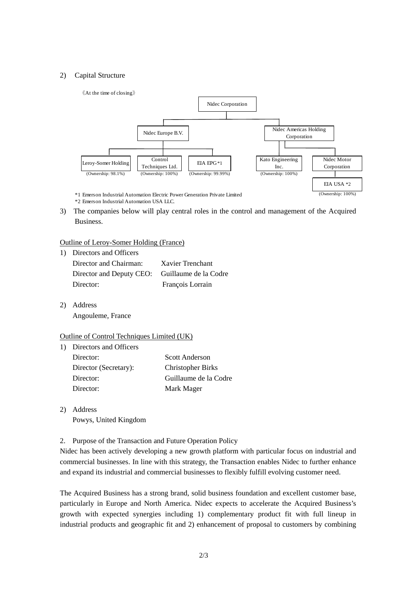## 2) Capital Structure



3) The companies below will play central roles in the control and management of the Acquired Business.

## Outline of Leroy-Somer Holding (France)

| 1) Directors and Officers                      |                  |
|------------------------------------------------|------------------|
| Director and Chairman:                         | Xavier Trenchant |
| Director and Deputy CEO: Guillaume de la Codre |                  |
| Director:                                      | François Lorrain |

2) Address Angouleme, France

## Outline of Control Techniques Limited (UK)

| $\left  \right $ | Directors and Officers |                          |
|------------------|------------------------|--------------------------|
|                  | Director:              | <b>Scott Anderson</b>    |
|                  | Director (Secretary):  | <b>Christopher Birks</b> |
|                  | Director:              | Guillaume de la Codre    |
|                  | Director:              | Mark Mager               |
|                  |                        |                          |

- 2) Address Powys, United Kingdom
- 2. Purpose of the Transaction and Future Operation Policy

Nidec has been actively developing a new growth platform with particular focus on industrial and commercial businesses. In line with this strategy, the Transaction enables Nidec to further enhance and expand its industrial and commercial businesses to flexibly fulfill evolving customer need.

The Acquired Business has a strong brand, solid business foundation and excellent customer base, particularly in Europe and North America. Nidec expects to accelerate the Acquired Business's growth with expected synergies including 1) complementary product fit with full lineup in industrial products and geographic fit and 2) enhancement of proposal to customers by combining